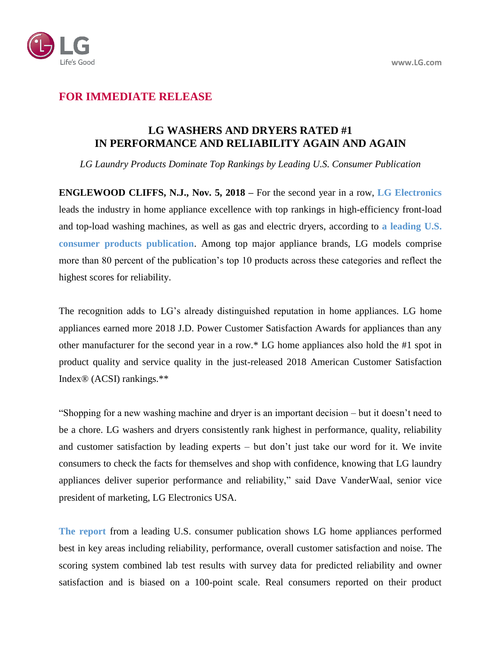

## **FOR IMMEDIATE RELEASE**

## **LG WASHERS AND DRYERS RATED #1 IN PERFORMANCE AND RELIABILITY AGAIN AND AGAIN**

*LG Laundry Products Dominate Top Rankings by Leading U.S. Consumer Publication*

**ENGLEWOOD CLIFFS, N.J., Nov. 5, 2018 –** For the second year in a row, **[LG Electronics](http://www.lg.com/us)** leads the industry in home appliance excellence with top rankings in high-efficiency front-load and top-load washing machines, as well as gas and electric dryers, according to **[a leading U.S.](https://www.lg.com/us/consumer-reports/washers-dryers)  [consumer products publication](https://www.lg.com/us/consumer-reports/washers-dryers)**. Among top major appliance brands, LG models comprise more than 80 percent of the publication's top 10 products across these categories and reflect the highest scores for reliability.

The recognition adds to LG's already distinguished reputation in home appliances. LG home appliances earned more 2018 J.D. Power Customer Satisfaction Awards for appliances than any other manufacturer for the second year in a row.\* LG home appliances also hold the #1 spot in product quality and service quality in the just-released 2018 American Customer Satisfaction Index® (ACSI) rankings.\*\*

"Shopping for a new washing machine and dryer is an important decision – but it doesn't need to be a chore. LG washers and dryers consistently rank highest in performance, quality, reliability and customer satisfaction by leading experts – but don't just take our word for it. We invite consumers to check the facts for themselves and shop with confidence, knowing that LG laundry appliances deliver superior performance and reliability," said Dave VanderWaal, senior vice president of marketing, LG Electronics USA.

**[The report](https://www.lg.com/us/consumer-reports/washers-dryers)** from a leading U.S. consumer publication shows LG home appliances performed best in key areas including reliability, performance, overall customer satisfaction and noise. The scoring system combined lab test results with survey data for predicted reliability and owner satisfaction and is biased on a 100-point scale. Real consumers reported on their product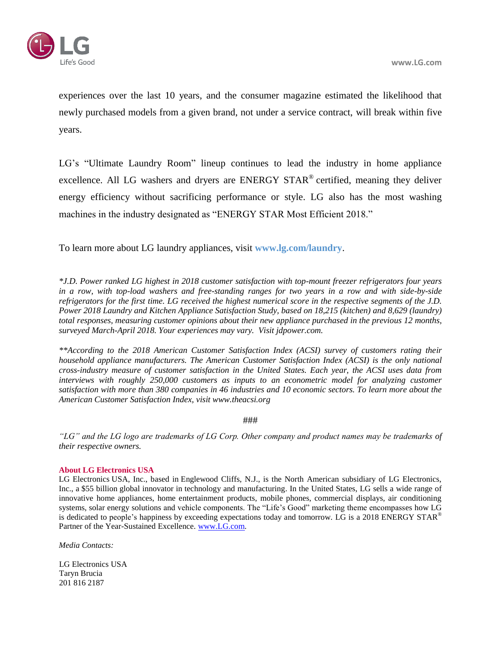

experiences over the last 10 years, and the consumer magazine estimated the likelihood that newly purchased models from a given brand, not under a service contract, will break within five years.

LG's "Ultimate Laundry Room" lineup continues to lead the industry in home appliance excellence. All LG washers and dryers are ENERGY STAR® certified, meaning they deliver energy efficiency without sacrificing performance or style. LG also has the most washing machines in the industry designated as "ENERGY STAR Most Efficient 2018."

To learn more about LG laundry appliances, visit **[www.lg.com/](https://www.lg.com/us/laundry)laundry**.

*\*J.D. Power ranked LG highest in 2018 customer satisfaction with top-mount freezer refrigerators four years in a row, with top-load washers and free-standing ranges for two years in a row and with side-by-side refrigerators for the first time. LG received the highest numerical score in the respective segments of the J.D. Power 2018 Laundry and Kitchen Appliance Satisfaction Study, based on 18,215 (kitchen) and 8,629 (laundry) total responses, measuring customer opinions about their new appliance purchased in the previous 12 months, surveyed March-April 2018. Your experiences may vary. Visit jdpower.com.*

*\*\*According to the 2018 American Customer Satisfaction Index (ACSI) survey of customers rating their household appliance manufacturers. The American Customer Satisfaction Index (ACSI) is the only national cross-industry measure of customer satisfaction in the United States. Each year, the ACSI uses data from interviews with roughly 250,000 customers as inputs to an econometric model for analyzing customer satisfaction with more than 380 companies in 46 industries and 10 economic sectors. To learn more about the American Customer Satisfaction Index, visit www.theacsi.org*

###

*"LG" and the LG logo are trademarks of LG Corp. Other company and product names may be trademarks of their respective owners.*

## **About LG Electronics USA**

LG Electronics USA, Inc., based in Englewood Cliffs, N.J., is the North American subsidiary of LG Electronics, Inc., a \$55 billion global innovator in technology and manufacturing. In the United States, LG sells a wide range of innovative home appliances, home entertainment products, mobile phones, commercial displays, air conditioning systems, solar energy solutions and vehicle components. The "Life's Good" marketing theme encompasses how LG is dedicated to people's happiness by exceeding expectations today and tomorrow. LG is a 2018 ENERGY STAR<sup>®</sup> Partner of the Year-Sustained Excellence. [www.LG.com.](http://www.lg.com/)

*Media Contacts:*

LG Electronics USA Taryn Brucia 201 816 2187